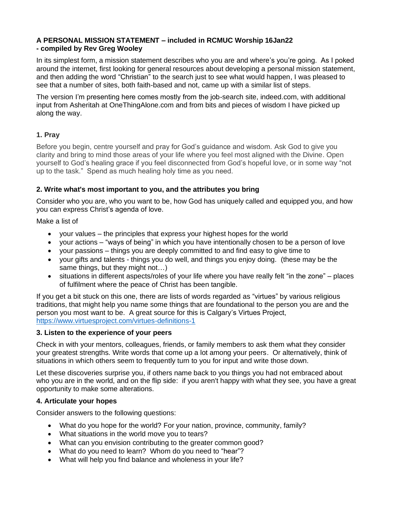## **A PERSONAL MISSION STATEMENT – included in RCMUC Worship 16Jan22 - compiled by Rev Greg Wooley**

In its simplest form, a mission statement describes who you are and where's you're going. As I poked around the internet, first looking for general resources about developing a personal mission statement, and then adding the word "Christian" to the search just to see what would happen, I was pleased to see that a number of sites, both faith-based and not, came up with a similar list of steps.

The version I'm presenting here comes mostly from the job-search site, indeed.com, with additional input from Asheritah at OneThingAlone.com and from bits and pieces of wisdom I have picked up along the way.

# **1. Pray**

Before you begin, centre yourself and pray for God's guidance and wisdom. Ask God to give you clarity and bring to mind those areas of your life where you feel most aligned with the Divine. Open yourself to God's healing grace if you feel disconnected from God's hopeful love, or in some way "not up to the task." Spend as much healing holy time as you need.

## **2. Write what's most important to you, and the attributes you bring**

Consider who you are, who you want to be, how God has uniquely called and equipped you, and how you can express Christ's agenda of love.

Make a list of

- your values the principles that express your highest hopes for the world
- your actions "ways of being" in which you have intentionally chosen to be a person of love
- your passions things you are deeply committed to and find easy to give time to
- your gifts and talents things you do well, and things you enjoy doing. (these may be the same things, but they might not…)
- situations in different aspects/roles of your life where you have really felt "in the zone" places of fulfilment where the peace of Christ has been tangible.

If you get a bit stuck on this one, there are lists of words regarded as "virtues" by various religious traditions, that might help you name some things that are foundational to the person you are and the person you most want to be. A great source for this is Calgary's Virtues Project, <https://www.virtuesproject.com/virtues-definitions-1>

#### **3. Listen to the experience of your peers**

Check in with your mentors, colleagues, friends, or family members to ask them what they consider your greatest strengths. Write words that come up a lot among your peers. Or alternatively, think of situations in which others seem to frequently turn to you for input and write those down.

Let these discoveries surprise you, if others name back to you things you had not embraced about who you are in the world, and on the flip side: if you aren't happy with what they see, you have a great opportunity to make some alterations.

#### **4. Articulate your hopes**

Consider answers to the following questions:

- What do you hope for the world? For your nation, province, community, family?
- What situations in the world move you to tears?
- What can you envision contributing to the greater common good?
- What do you need to learn? Whom do you need to "hear"?
- What will help you find balance and wholeness in your life?